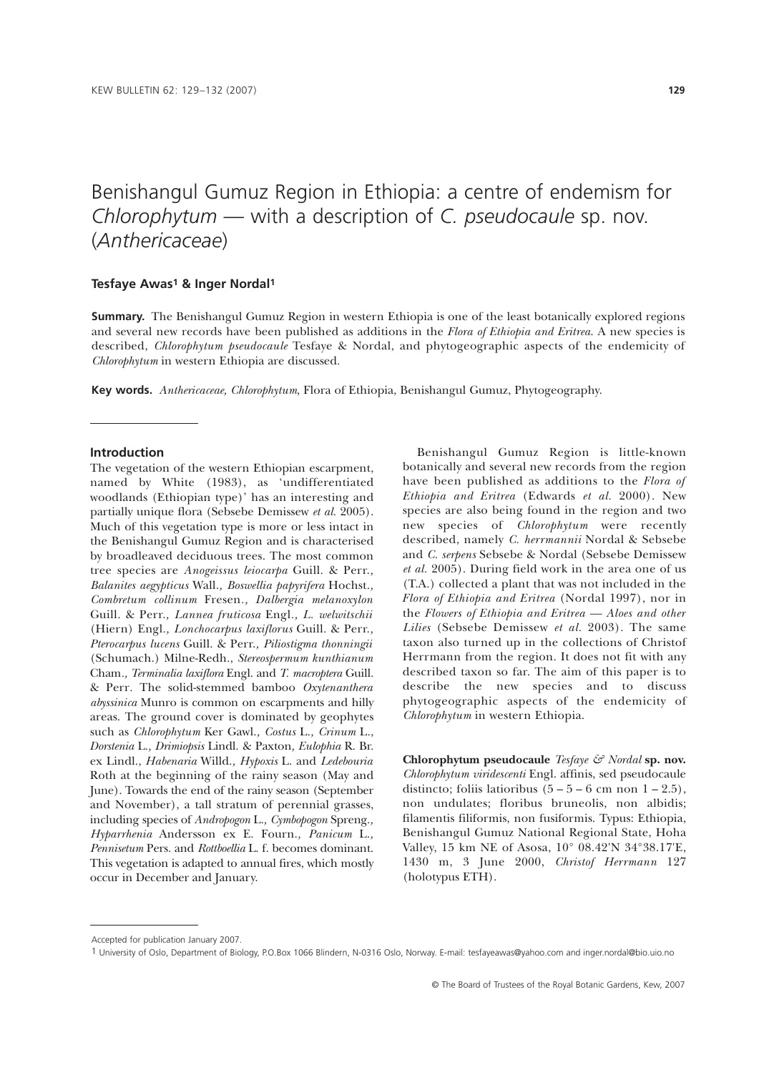# Benishangul Gumuz Region in Ethiopia: a centre of endemism for *Chlorophytum* — with a description of *C. pseudocaule* sp. nov. (*Anthericaceae*)

## **Tesfaye Awas1 & Inger Nordal1**

**Summary.** The Benishangul Gumuz Region in western Ethiopia is one of the least botanically explored regions and several new records have been published as additions in the *Flora of Ethiopia and Eritrea*. A new species is described, *Chlorophytum pseudocaule* Tesfaye & Nordal, and phytogeographic aspects of the endemicity of *Chlorophytum* in western Ethiopia are discussed.

**Key words.** *Anthericaceae, Chlorophytum,* Flora of Ethiopia, Benishangul Gumuz, Phytogeography.

#### **Introduction**

The vegetation of the western Ethiopian escarpment, named by White (1983), as 'undifferentiated woodlands (Ethiopian type)' has an interesting and partially unique flora (Sebsebe Demissew *et al.* 2005). Much of this vegetation type is more or less intact in the Benishangul Gumuz Region and is characterised by broadleaved deciduous trees. The most common tree species are *Anogeissus leiocarpa* Guill. & Perr.*, Balanites aegypticus* Wall.*, Boswellia papyrifera* Hochst.*, Combretum collinum* Fresen*., Dalbergia melanoxylon* Guill. & Perr.*, Lannea fruticosa* Engl*., L. welwitschii* (Hiern) Engl.*, Lonchocarpus laxiflorus* Guill. & Perr.*, Pterocarpus lucens* Guill. & Perr.*, Piliostigma thonningii* (Schumach.) Milne-Redh., *Stereospermum kunthianum* Cham*., Terminalia laxiflora* Engl. and *T. macroptera* Guill. & Perr*.* The solid-stemmed bamboo *Oxytenanthera abyssinica* Munro is common on escarpments and hilly areas. The ground cover is dominated by geophytes such as *Chlorophytum* Ker Gawl.*, Costus* L.*, Crinum* L., *Dorstenia* L.*, Drimiopsis* Lindl. & Paxton*, Eulophia* R. Br. ex Lindl., *Habenaria* Willd.*, Hypoxis* L. and *Ledebouria* Roth at the beginning of the rainy season (May and June). Towards the end of the rainy season (September and November), a tall stratum of perennial grasses, including species of *Andropogon* L.*, Cymbopogon* Spreng.*, Hyparrhenia* Andersson ex E. Fourn.*, Panicum* L.*, Pennisetum* Pers. and *Rottboellia* L. f. becomes dominant. This vegetation is adapted to annual fires, which mostly occur in December and January.

Benishangul Gumuz Region is little-known botanically and several new records from the region have been published as additions to the *Flora of Ethiopia and Eritrea* (Edwards *et al.* 2000). New species are also being found in the region and two new species of *Chlorophytum* were recently described, namely *C. herrmannii* Nordal & Sebsebe and *C. serpens* Sebsebe & Nordal (Sebsebe Demissew *et al.* 2005). During field work in the area one of us (T.A.) collected a plant that was not included in the *Flora of Ethiopia and Eritrea* (Nordal 1997), nor in the *Flowers of Ethiopia and Eritrea — Aloes and other Lilies* (Sebsebe Demissew *et al.* 2003). The same taxon also turned up in the collections of Christof Herrmann from the region. It does not fit with any described taxon so far. The aim of this paper is to describe the new species and to discuss phytogeographic aspects of the endemicity of *Chlorophytum* in western Ethiopia.

**Chlorophytum pseudocaule** *Tesfaye & Nordal* **sp. nov.** *Chlorophytum viridescenti* Engl. affinis, sed pseudocaule distincto; foliis latioribus  $(5 - 5 - 6$  cm non  $1 - 2.5)$ . non undulates; floribus bruneolis, non albidis; filamentis filiformis, non fusiformis. Typus: Ethiopia, Benishangul Gumuz National Regional State, Hoha Valley, 15 km NE of Asosa, 10° 08.42'N 34°38.17'E, 1430 m, 3 June 2000, *Christof Herrmann* 127 (holotypus ETH).

Accepted for publication January 2007.

<sup>1</sup> University of Oslo, Department of Biology, P.O.Box 1066 Blindern, N-0316 Oslo, Norway. E-mail: tesfayeawas@yahoo.com and inger.nordal@bio.uio.no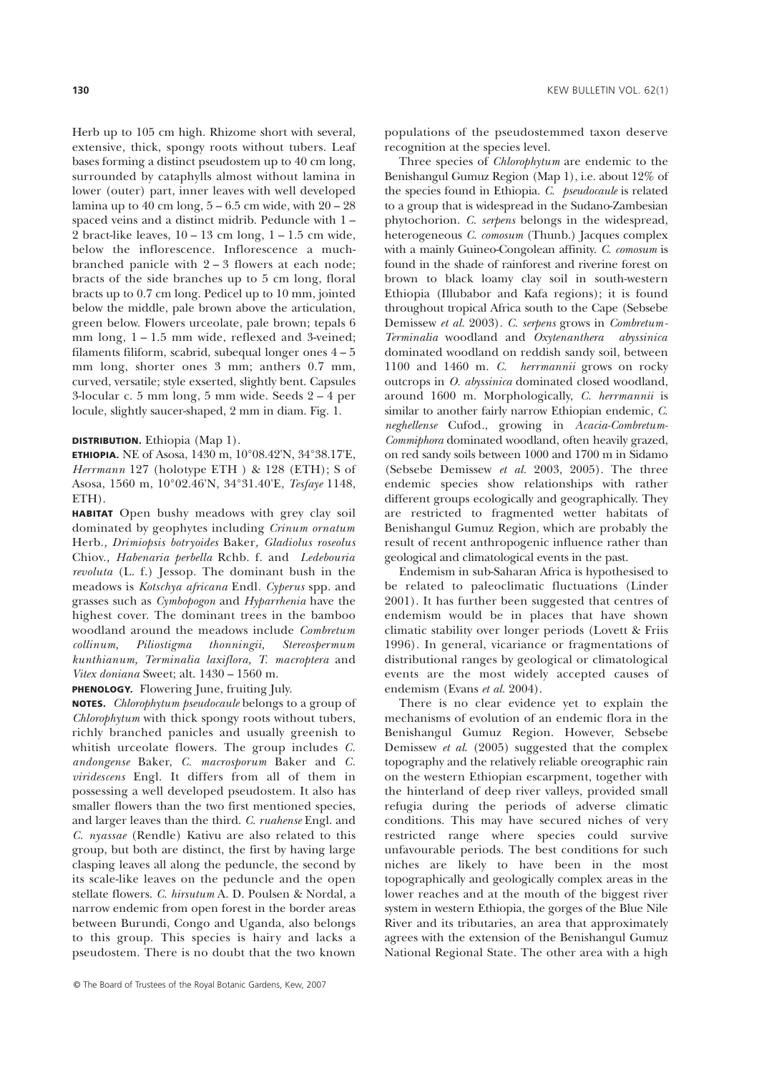Herb up to 105 cm high. Rhizome short with several, extensive, thick, spongy roots without tubers. Leaf bases forming a distinct pseudostem up to 40 cm long, surrounded by cataphylls almost without lamina in lower (outer) part, inner leaves with well developed lamina up to  $40 \text{ cm}$  long,  $5 - 6.5 \text{ cm}$  wide, with  $20 - 28$ spaced veins and a distinct midrib. Peduncle with 1 – 2 bract-like leaves,  $10 - 13$  cm long,  $1 - 1.5$  cm wide, below the inflorescence. Inflorescence a muchbranched panicle with 2 – 3 flowers at each node; bracts of the side branches up to 5 cm long, floral bracts up to 0.7 cm long. Pedicel up to 10 mm, jointed below the middle, pale brown above the articulation, green below. Flowers urceolate, pale brown; tepals 6 mm long, 1 – 1.5 mm wide, reflexed and 3-veined; filaments filiform, scabrid, subequal longer ones 4 – 5 mm long, shorter ones 3 mm; anthers 0.7 mm, curved, versatile; style exserted, slightly bent. Capsules 3-locular c. 5 mm long, 5 mm wide. Seeds 2 – 4 per locule, slightly saucer-shaped, 2 mm in diam. Fig. 1.

#### **DISTRIBUTION.** Ethiopia (Map 1).

**ETHIOPIA.** NE of Asosa, 1430 m, 10°08.42'N, 34°38.17'E, *Herrmann* 127 (holotype ETH ) & 128 (ETH); S of Asosa, 1560 m, 10°02.46'N, 34°31.40'E, *Tesfaye* 1148, ETH).

**HABITAT** Open bushy meadows with grey clay soil dominated by geophytes including *Crinum ornatum* Herb.*, Drimiopsis botryoides* Baker*, Gladiolus roseolus* Chiov.*, Habenaria perbella* Rchb. f. and *Ledebouria revoluta* (L. f.) Jessop. The dominant bush in the meadows is *Kotschya africana* Endl*. Cyperus* spp. and grasses such as *Cymbopogon* and *Hyparrhenia* have the highest cover. The dominant trees in the bamboo woodland around the meadows include *Combretum collinum, Piliostigma thonningii, Stereospermum kunthianum, Terminalia laxiflora, T. macroptera* and *Vitex doniana* Sweet; alt. 1430 – 1560 m.

## **PHENOLOGY.** Flowering June, fruiting July.

**NOTES.** *Chlorophytum pseudocaule* belongs to a group of *Chlorophytum* with thick spongy roots without tubers, richly branched panicles and usually greenish to whitish urceolate flowers. The group includes *C. andongense* Baker, *C. macrosporum* Baker and *C. viridescens* Engl. It differs from all of them in possessing a well developed pseudostem. It also has smaller flowers than the two first mentioned species, and larger leaves than the third. *C. ruahense* Engl. and *C. nyassae* (Rendle) Kativu are also related to this group, but both are distinct, the first by having large clasping leaves all along the peduncle, the second by its scale-like leaves on the peduncle and the open stellate flowers. *C. hirsutum* A. D. Poulsen & Nordal, a narrow endemic from open forest in the border areas between Burundi, Congo and Uganda, also belongs to this group. This species is hairy and lacks a pseudostem. There is no doubt that the two known

populations of the pseudostemmed taxon deserve recognition at the species level.

Three species of *Chlorophytum* are endemic to the Benishangul Gumuz Region (Map 1), i.e. about 12% of the species found in Ethiopia. *C. pseudocaule* is related to a group that is widespread in the Sudano-Zambesian phytochorion. *C. serpens* belongs in the widespread, heterogeneous *C. comosum* (Thunb.) Jacques complex with a mainly Guineo-Congolean affinity. *C. comosum* is found in the shade of rainforest and riverine forest on brown to black loamy clay soil in south-western Ethiopia (Illubabor and Kafa regions); it is found throughout tropical Africa south to the Cape (Sebsebe Demissew *et al.* 2003). *C. serpens* grows in *Combretum-Terminalia* woodland and *Oxytenanthera abyssinica* dominated woodland on reddish sandy soil, between 1100 and 1460 m. *C. herrmannii* grows on rocky outcrops in *O. abyssinica* dominated closed woodland, around 1600 m. Morphologically, *C. herrmannii* is similar to another fairly narrow Ethiopian endemic, *C. neghellense* Cufod*.*, growing in *Acacia-Combretum-Commiphora* dominated woodland, often heavily grazed, on red sandy soils between 1000 and 1700 m in Sidamo (Sebsebe Demissew *et al.* 2003, 2005). The three endemic species show relationships with rather different groups ecologically and geographically. They are restricted to fragmented wetter habitats of Benishangul Gumuz Region, which are probably the result of recent anthropogenic influence rather than geological and climatological events in the past.

Endemism in sub-Saharan Africa is hypothesised to be related to paleoclimatic fluctuations (Linder 2001). It has further been suggested that centres of endemism would be in places that have shown climatic stability over longer periods (Lovett & Friis 1996). In general, vicariance or fragmentations of distributional ranges by geological or climatological events are the most widely accepted causes of endemism (Evans *et al.* 2004).

There is no clear evidence yet to explain the mechanisms of evolution of an endemic flora in the Benishangul Gumuz Region. However, Sebsebe Demissew *et al*. (2005) suggested that the complex topography and the relatively reliable oreographic rain on the western Ethiopian escarpment, together with the hinterland of deep river valleys, provided small refugia during the periods of adverse climatic conditions. This may have secured niches of very restricted range where species could survive unfavourable periods. The best conditions for such niches are likely to have been in the most topographically and geologically complex areas in the lower reaches and at the mouth of the biggest river system in western Ethiopia, the gorges of the Blue Nile River and its tributaries, an area that approximately agrees with the extension of the Benishangul Gumuz National Regional State. The other area with a high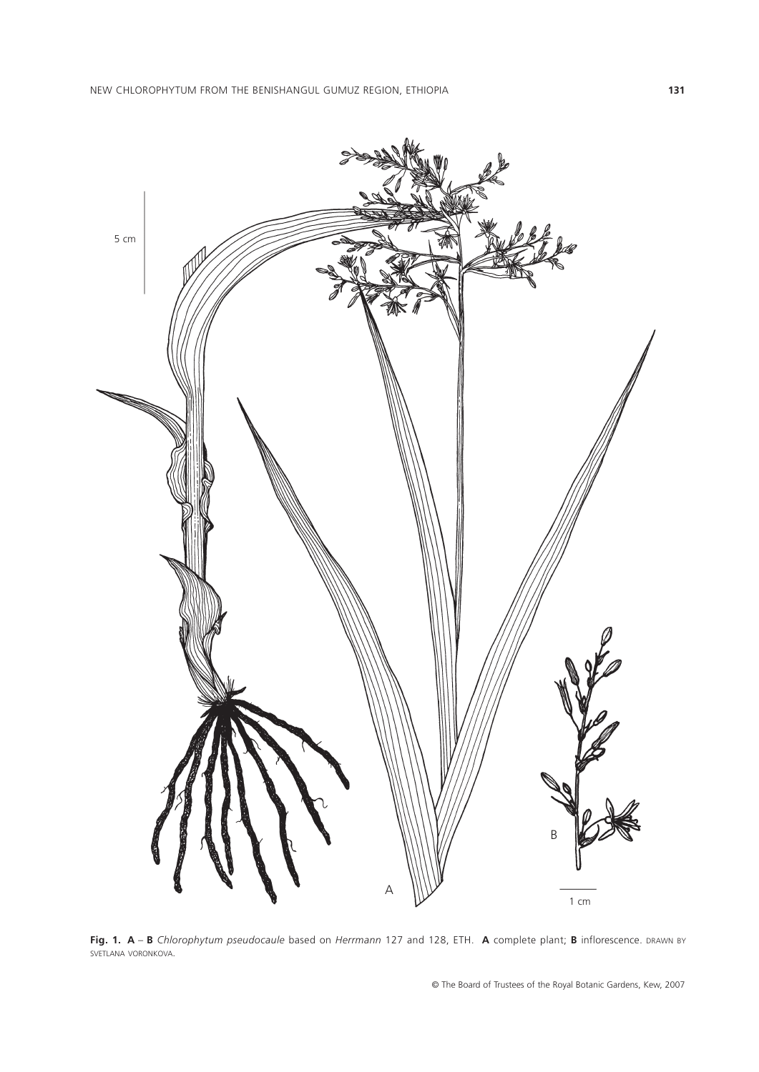

**Fig. 1. A** – **B** *Chlorophytum pseudocaule* based on *Herrmann* 127 and 128, ETH. **A** complete plant; **B** inflorescence. DRAWN BY SVETLANA VORONKOVA.